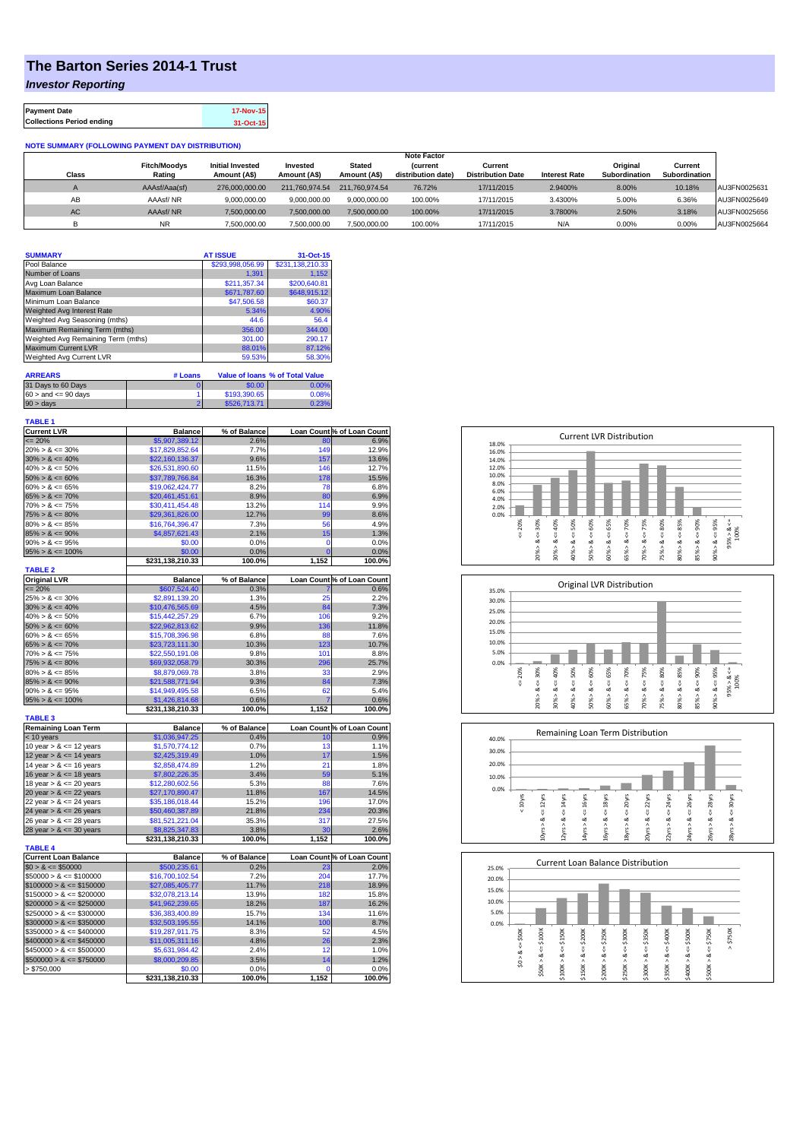## **The Barton Series 2014-1 Trust**

*Investor Reporting*

| <b>Payment Date</b>              | 17-Nov-15 |
|----------------------------------|-----------|
| <b>Collections Period ending</b> | 31-Oct-15 |

## **NOTE SUMMARY (FOLLOWING PAYMENT DAY DISTRIBUTION)**

|              |                     |                         |                |                | <b>Note Factor</b> |                          |                      |               |               |              |
|--------------|---------------------|-------------------------|----------------|----------------|--------------------|--------------------------|----------------------|---------------|---------------|--------------|
|              | <b>Fitch/Moodys</b> | <b>Initial Invested</b> | Invested       | Stated         | <b>Current</b>     | Current                  |                      | Original      | Current       |              |
| <b>Class</b> | Rating              | Amount (A\$)            | Amount (A\$)   | Amount (A\$)   | distribution date) | <b>Distribution Date</b> | <b>Interest Rate</b> | Subordination | Subordination |              |
|              | AAAsf/Aaa(sf)       | 276,000,000,00          | 211.760.974.54 | 211.760.974.54 | 76.72%             | 17/11/2015               | 2.9400%              | 8.00%         | 10.18%        | AU3FN0025631 |
| AB           | AAAsf/NR            | 9,000,000.00            | 9.000.000.00   | 9.000.000.00   | 100.00%            | 17/11/2015               | 3.4300%              | 5.00%         | 6.36%         | AU3FN0025649 |
| AC.          | AAAsf/NR            | 7,500,000.00            | 7.500.000.00   | 7.500.000.00   | 100.00%            | 17/11/2015               | 3.7800%              | 2.50%         | 3.18%         | AU3FN0025656 |
|              | <b>NR</b>           | ,500,000.00             | 7.500.000.00   | 7,500,000.00   | 100.00%            | 17/11/2015               | N/A                  | 0.00%         | 0.00%         | AU3FN0025664 |

| <b>SUMMARY</b>                     |         | <b>AT ISSUE</b>  | 31-Oct-15                              |
|------------------------------------|---------|------------------|----------------------------------------|
| Pool Balance                       |         | \$293,998,056.99 | \$231,138,210.33                       |
| Number of Loans                    |         | 1.391            | 1.152                                  |
| Avg Loan Balance                   |         | \$211.357.34     | \$200,640.81                           |
| Maximum Loan Balance               |         | \$671,787.60     | \$648,915.12                           |
| Minimum Loan Balance               |         | \$47,506.58      | \$60.37                                |
| Weighted Avg Interest Rate         |         | 5.34%            | 4.90%                                  |
| Weighted Avg Seasoning (mths)      |         | 44.6             | 56.4                                   |
| Maximum Remaining Term (mths)      |         | 356.00           | 344.00                                 |
| Weighted Avg Remaining Term (mths) |         | 301.00           | 290.17                                 |
| <b>Maximum Current LVR</b>         |         | 88.01%           | 87.12%                                 |
| Weighted Avg Current LVR           |         | 59.53%           | 58.30%                                 |
|                                    |         |                  |                                        |
| <b>ARREARS</b>                     | # Loans |                  | <b>Value of loans % of Total Value</b> |
|                                    |         | $- - - -$        |                                        |

| 31 Days to 60 Days        | \$0.00       | $0.00\%$ |
|---------------------------|--------------|----------|
| $60 >$ and $\leq 90$ days | \$193,390.65 | 0.08%    |
| $90 > \text{days}$        | \$526,713.71 | 0.23%    |

| <b>TABLE 1</b>              |                  |              |                |                            |
|-----------------------------|------------------|--------------|----------------|----------------------------|
| <b>Current LVR</b>          | <b>Balance</b>   | % of Balance |                | Loan Count % of Loan Count |
| $= 20%$                     | \$5,907,389.12   | 2.6%         | 80             | 6.9%                       |
| $20\% > 8 \le 30\%$         | \$17,829,852.64  | 7.7%         | 149            | 12.9%                      |
| $30\% > 8 \le 40\%$         | \$22,160,136.37  | 9.6%         | 157            | 13.6%                      |
| $40\% > 8 \le 50\%$         | \$26,531,890.60  | 11.5%        | 146            | 12.7%                      |
| $50\% > 8 \le 60\%$         | \$37,789,766.84  | 16.3%        | 178            | 15.5%                      |
| $60\% > 8 \le 65\%$         | \$19,062,424.77  | 8.2%         | 78             | 6.8%                       |
| $65\% > 8 \le 70\%$         | \$20,461,451.61  | 8.9%         | 80             | 6.9%                       |
| $70\% > 8 \le 75\%$         | \$30,411,454.48  | 13.2%        | 114            | 9.9%                       |
| $75\% > 8 \le 80\%$         | \$29,361,826.00  | 12.7%        | 99             | 8.6%                       |
| $80\% > 8 \le 85\%$         | \$16,764,396.47  | 7.3%         | 56             | 4.9%                       |
| $85\% > 8 \le 90\%$         | \$4,857,621.43   | 2.1%         | 15             | 1.3%                       |
| $90\% > 8 \le 95\%$         | \$0.00           | 0.0%         | $\mathbf 0$    | 0.0%                       |
| $95\% > 8 \le 100\%$        | \$0.00           | 0.0%         | $\overline{0}$ | 0.0%                       |
|                             | \$231,138,210.33 | 100.0%       | 1,152          | 100.0%                     |
| <b>TABLE 2</b>              |                  |              |                |                            |
| <b>Original LVR</b>         | <b>Balance</b>   | % of Balance |                | Loan Count % of Loan Count |
| $= 20%$                     | \$607,524.40     | 0.3%         |                | 0.6%                       |
| $25\% > 8 \le 30\%$         | \$2,891,139.20   | 1.3%         | 25             | 2.2%                       |
| $30\% > 8 \le 40\%$         | \$10,476,565.69  | 4.5%         | 84             | 7.3%                       |
| $40\% > 8 \le 50\%$         | \$15,442,257.29  | 6.7%         | 106            | 9.2%                       |
| $50\% > 8 \le 60\%$         | \$22,962,813.62  | 9.9%         | 136            | 11.8%                      |
| $60\% > 8 \le 65\%$         | \$15,708,396.98  | 6.8%         | 88             | 7.6%                       |
| $65\% > 8 \le 70\%$         | \$23,723,111.30  | 10.3%        | 123            | 10.7%                      |
| $70\% > 8 \le 75\%$         | \$22,550,191.08  | 9.8%         | 101            | 8.8%                       |
| $75\% > 8 \le 80\%$         | \$69,932,058.79  | 30.3%        | 296            | 25.7%                      |
| $80\% > 8 \le 85\%$         | \$8,879,069.78   | 3.8%         | 33             | 2.9%                       |
| $85\% > 8 \le 90\%$         | \$21,588,771.94  | 9.3%         | 84             | 7.3%                       |
| $90\% > 8 \le 95\%$         | \$14,949,495.58  | 6.5%         | 62             | 5.4%                       |
| $95\% > 8 \le 100\%$        | \$1,426,814.68   | 0.6%         |                | 0.6%                       |
| <b>TABLE 3</b>              | \$231,138,210.33 | 100.0%       | 1,152          | 100.0%                     |
| <b>Remaining Loan Term</b>  | <b>Balance</b>   | % of Balance |                | Loan Count % of Loan Count |
| < 10 years                  | \$1,036,947.25   | 0.4%         | 10             | 0.9%                       |
| 10 year $> 8 \le 12$ years  | \$1,570,774.12   | 0.7%         | 13             | 1.1%                       |
| 12 year $> 8 \le 14$ years  | \$2,425,319.49   | 1.0%         | 17             | 1.5%                       |
| 14 year $> 8 \le 16$ years  | \$2,858,474.89   | 1.2%         | 21             | 1.8%                       |
| 16 year $> 8 \le 18$ years  | \$7,802,226.35   | 3.4%         | 59             | 5.1%                       |
| 18 year $> 8 \le 20$ years  | \$12,280,602.56  | 5.3%         | 88             | 7.6%                       |
| 20 year $> 8 \le 22$ years  | \$27,170,890.47  | 11.8%        | 167            | 14.5%                      |
| 22 year $> 8 \le 24$ years  | \$35,186,018.44  | 15.2%        | 196            | 17.0%                      |
| 24 year $> 8 \le 26$ years  | \$50,460,387.89  | 21.8%        | 234            | 20.3%                      |
| 26 year $> 8 \le 28$ years  | \$81,521,221.04  | 35.3%        | 317            | 27.5%                      |
| 28 year $> 8 \le 30$ years  | \$8,825,347.83   | 3.8%         | 30             | 2.6%                       |
|                             | \$231,138,210.33 | 100.0%       | 1,152          | 100.0%                     |
| <b>TABLE 4</b>              |                  |              |                |                            |
| <b>Current Loan Balance</b> | <b>Balance</b>   | % of Balance |                | Loan Count % of Loan Count |
| $$0 > 8 \le $50000$         | \$500,235.61     | 0.2%         | 23             | 2.0%                       |
| $$50000 > 8 \le $100000$    | \$16,700,102.54  | 7.2%         | 204            | 17.7%                      |
| $$100000 > 8 \leq $150000$  | \$27,085,405.77  | 11.7%        | 218            | 18.9%                      |
| $$150000 > 8 \leq $200000$  | \$32,078,213.14  | 13.9%        | 182            | 15.8%                      |
| $$200000 > 8 \leq $250000$  | \$41,962,239.65  | 18.2%        | 187            | 16.2%                      |
| $$250000 > 8 \leq $300000$  | \$36,383,400.89  | 15.7%        | 134            | 11.6%                      |
| $$300000 > 8 \leq $350000$  | \$32,503,195.55  | 14.1%        | 100            | 8.7%                       |
| $$350000 > 8 \leq $400000$  | \$19,287,911.75  | 8.3%         | 52             | 4.5%                       |
| $$400000 > 8 \leq $450000$  | \$11,005,311.16  | 4.8%         | 26             | 2.3%                       |
| $$450000 > 8 \le $500000$   | \$5,631,984.42   | 2.4%         | 12             | 1.0%                       |
| $$500000 > 8 \leq $750000$  | \$8,000,209.85   | 3.5%         | 14             | 1.2%                       |
| > \$750,000                 | \$0.00           | 0.0%         | 0              | 0.0%                       |
|                             | \$231,138,210.33 | 100.0%       | 1,152          | 100.0%                     |